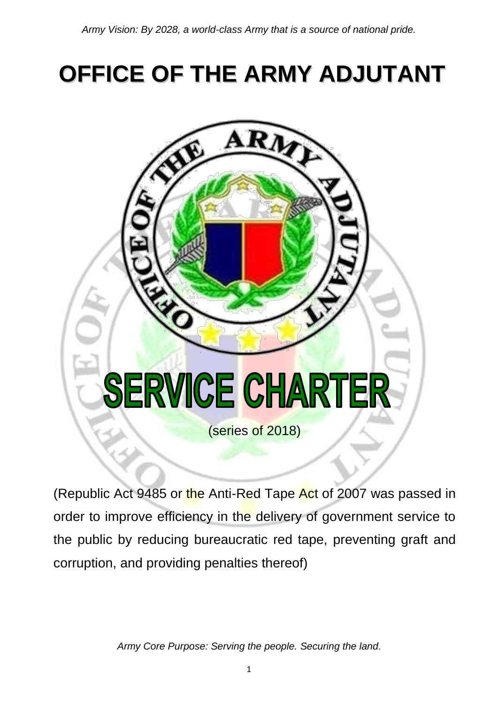# **OFFICE OF THE ARMY ADJUTANT**



(Republic Act 9485 or the Anti-Red Tape Act of 2007 was passed in order to improve efficiency in the delivery of government service to the public by reducing bureaucratic red tape, preventing graft and corruption, and providing penalties thereof)

*Army Core Purpose: Serving the people. Securing the land*.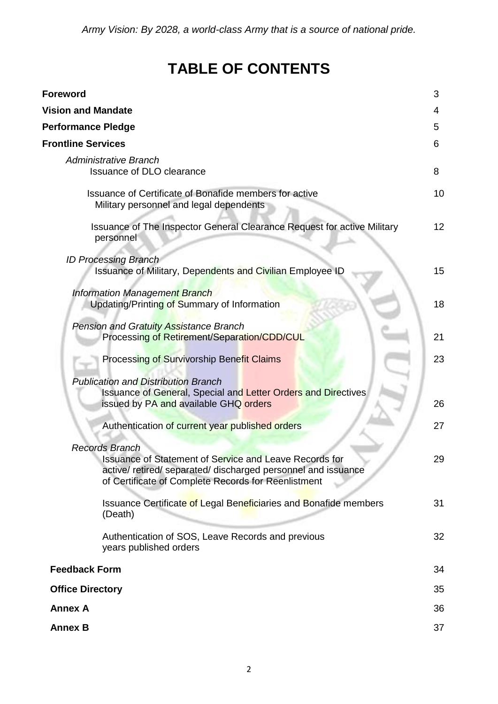# **TABLE OF CONTENTS**

| <b>Foreword</b>                                                                                                                                                                                                | 3  |
|----------------------------------------------------------------------------------------------------------------------------------------------------------------------------------------------------------------|----|
| <b>Vision and Mandate</b>                                                                                                                                                                                      | 4  |
| <b>Performance Pledge</b>                                                                                                                                                                                      | 5  |
| <b>Frontline Services</b>                                                                                                                                                                                      | 6  |
| <b>Administrative Branch</b><br>Issuance of DLO clearance                                                                                                                                                      | 8  |
| Issuance of Certificate of Bonafide members for active<br>Military personnel and legal dependents                                                                                                              | 10 |
| Issuance of The Inspector General Clearance Request for active Military<br>personnel                                                                                                                           | 12 |
| <b>ID Processing Branch</b><br><b>Issuance of Military, Dependents and Civilian Employee ID</b>                                                                                                                | 15 |
| <b>Information Management Branch</b><br>Updating/Printing of Summary of Information                                                                                                                            | 18 |
| Pension and Gratuity Assistance Branch<br>Processing of Retirement/Separation/CDD/CUL                                                                                                                          | 21 |
| Processing of Survivorship Benefit Claims                                                                                                                                                                      | 23 |
| <b>Publication and Distribution Branch</b><br><b>Issuance of General, Special and Letter Orders and Directives</b><br>issued by PA and available GHQ orders                                                    | 26 |
| Authentication of current year published orders                                                                                                                                                                | 27 |
| <b>Records Branch</b><br><b>Issuance of Statement of Service and Leave Records for</b><br>active/ retired/ separated/ discharged personnel and issuance<br>of Certificate of Complete Records for Reenlistment | 29 |
| <b>Issuance Certificate of Legal Beneficiaries and Bonafide members</b><br>(Death)                                                                                                                             | 31 |
| Authentication of SOS, Leave Records and previous<br>years published orders                                                                                                                                    | 32 |
| <b>Feedback Form</b>                                                                                                                                                                                           | 34 |
| <b>Office Directory</b>                                                                                                                                                                                        | 35 |
| <b>Annex A</b>                                                                                                                                                                                                 | 36 |
| <b>Annex B</b>                                                                                                                                                                                                 | 37 |
|                                                                                                                                                                                                                |    |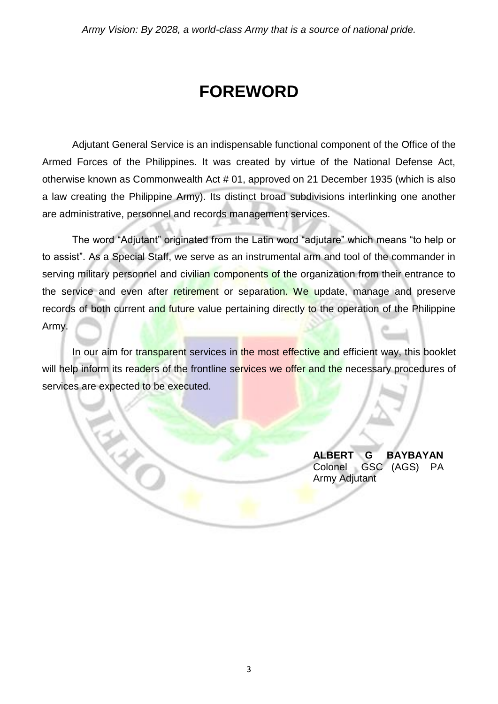# **FOREWORD**

Adjutant General Service is an indispensable functional component of the Office of the Armed Forces of the Philippines. It was created by virtue of the National Defense Act, otherwise known as Commonwealth Act # 01, approved on 21 December 1935 (which is also a law creating the Philippine Army). Its distinct broad subdivisions interlinking one another are administrative, personnel and records management services.

The word "Adjutant" originated from the Latin word "adjutare" which means "to help or to assist". As a Special Staff, we serve as an instrumental arm and tool of the commander in serving military personnel and civilian components of the organization from their entrance to the service and even after retirement or separation. We update, manage and preserve records of both current and future value pertaining directly to the operation of the Philippine Army.

In our aim for transparent services in the most effective and efficient way, this booklet will help inform its readers of the frontline services we offer and the necessary procedures of services are expected to be executed.

EN 2

**ALBERT G BAYBAYAN** Colonel GSC (AGS) PA Army Adjutant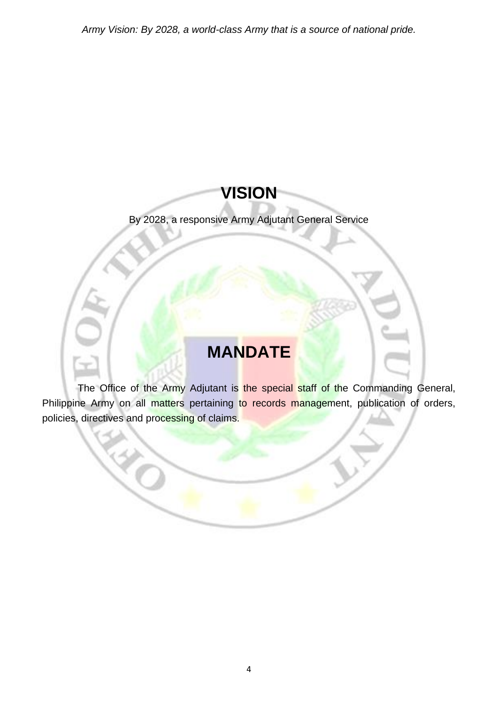# **VISION**

#### By 2028, a responsive Army Adjutant General Service

# **MANDATE**

The Office of the Army Adjutant is the special staff of the Commanding General, Philippine Army on all matters pertaining to records management, publication of orders, policies, directives and processing of claims.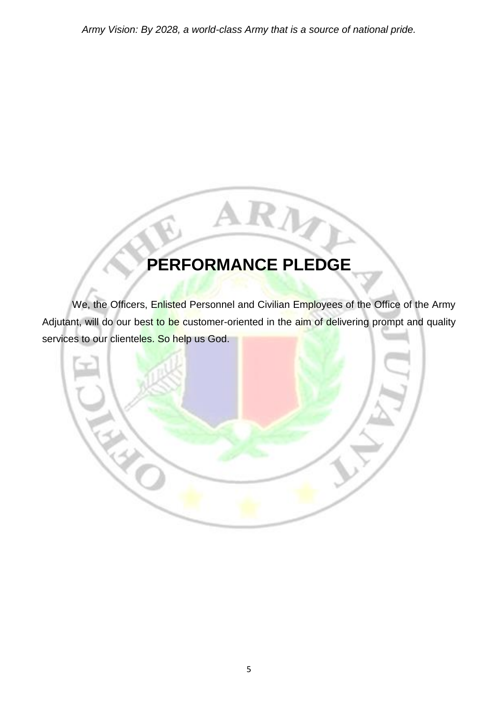# **PERFORMANCE PLEDGE**

RI

We, the Officers, Enlisted Personnel and Civilian Employees of the Office of the Army Adjutant, will do our best to be customer-oriented in the aim of delivering prompt and quality services to our clienteles. So help us God.

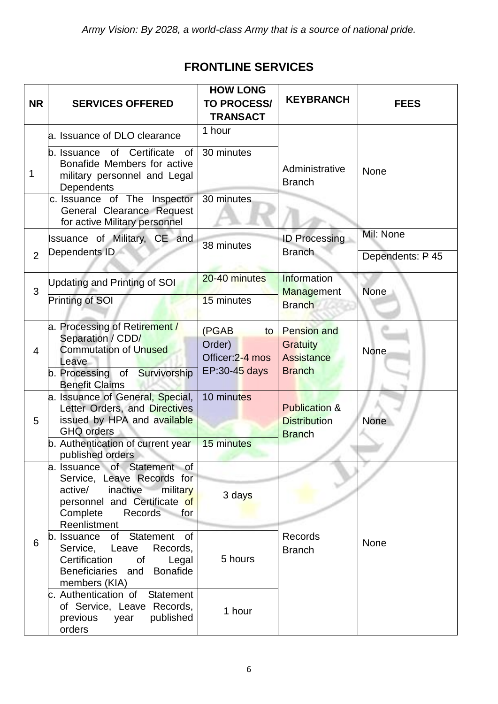#### **FRONTLINE SERVICES**

| <b>NR</b>      | <b>SERVICES OFFERED</b>                                                                                                                                                        | <b>HOW LONG</b><br><b>TO PROCESS/</b><br><b>TRANSACT</b>   | <b>KEYBRANCH</b>                                                            | <b>FEES</b>                              |
|----------------|--------------------------------------------------------------------------------------------------------------------------------------------------------------------------------|------------------------------------------------------------|-----------------------------------------------------------------------------|------------------------------------------|
|                | a. Issuance of DLO clearance                                                                                                                                                   | 1 hour                                                     |                                                                             |                                          |
| 1              | b. Issuance of Certificate<br>0f<br>Bonafide Members for active<br>military personnel and Legal<br>Dependents                                                                  | 30 minutes                                                 | Administrative<br><b>Branch</b>                                             | <b>None</b>                              |
|                | c. Issuance of The Inspector<br>General Clearance Request<br>for active Military personnel                                                                                     | 30 minutes                                                 |                                                                             |                                          |
| $\overline{2}$ | <b>Issuance of Military, CE and</b><br>Dependents ID                                                                                                                           | 38 minutes                                                 | <b>ID Processing</b><br><b>Branch</b>                                       | Mil: None<br>Dependents: $\cancel{P}$ 45 |
| 3              | Updating and Printing of SOI                                                                                                                                                   | 20-40 minutes                                              | Information<br><b>Management</b>                                            | <b>None</b>                              |
|                | Printing of SOI                                                                                                                                                                | 15 minutes                                                 | <b>Branch</b>                                                               |                                          |
| $\overline{4}$ | a. Processing of Retirement /<br>Separation / CDD/<br><b>Commutation of Unused</b><br>Leave<br>b. Processing of Survivorship<br><b>Benefit Claims</b>                          | (PGAB<br>to<br>Order)<br>Officer: 2-4 mos<br>EP:30-45 days | <b>Pension and</b><br><b>Gratuity</b><br><b>Assistance</b><br><b>Branch</b> | None                                     |
| 5              | a. Issuance of General, Special,<br>Letter Orders, and Directives<br>issued by HPA and available<br><b>GHQ orders</b><br>b. Authentication of current year<br>published orders | 10 minutes<br>15 minutes                                   | <b>Publication &amp;</b><br><b>Distribution</b><br><b>Branch</b>            | None                                     |
|                | a. Issuance of Statement of<br>Service, Leave Records for<br>active/<br>inactive<br>military<br>personnel and Certificate of<br>Complete<br>Records for<br>Reenlistment        | 3 days                                                     |                                                                             |                                          |
| 6              | b. Issuance of Statement of<br>Service, Leave Records,<br>Certification<br>Legal<br>0f<br>Beneficiaries and<br>Bonafide<br>members (KIA)                                       | 5 hours                                                    | Records<br><b>Branch</b>                                                    | None                                     |
|                | c. Authentication of Statement<br>of Service, Leave Records,<br>published<br>previous year<br>orders                                                                           | 1 hour                                                     |                                                                             |                                          |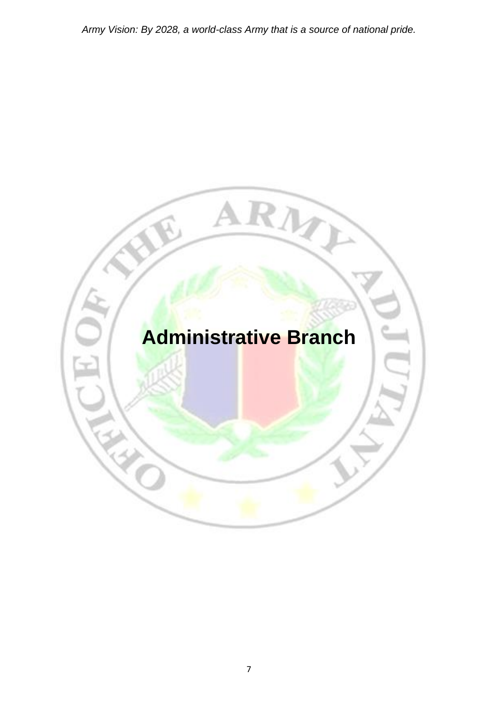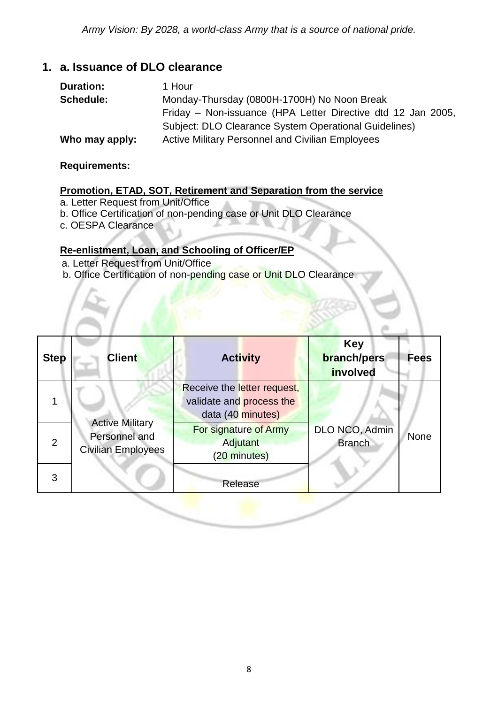#### **1. a. Issuance of DLO clearance**

| <b>Duration:</b> | 1 Hour                                                       |
|------------------|--------------------------------------------------------------|
| <b>Schedule:</b> | Monday-Thursday (0800H-1700H) No Noon Break                  |
|                  | Friday – Non-issuance (HPA Letter Directive dtd 12 Jan 2005, |
|                  | Subject: DLO Clearance System Operational Guidelines)        |
| Who may apply:   | <b>Active Military Personnel and Civilian Employees</b>      |

#### **Requirements:**

#### **Promotion, ETAD, SOT, Retirement and Separation from the service**

- a. Letter Request from Unit/Office
- b. Office Certification of non-pending case or Unit DLO Clearance
- c. OESPA Clearance

#### **Re-enlistment, Loan, and Schooling of Officer/EP**

- a. Letter Request from Unit/Office
- b. Office Certification of non-pending case or Unit DLO Clearance

| <b>Step</b> | <b>Client</b>                                                        | <b>Activity</b>                                                              | <b>Key</b><br><b>branch/pers</b><br>involved | <b>Fees</b> |
|-------------|----------------------------------------------------------------------|------------------------------------------------------------------------------|----------------------------------------------|-------------|
|             | <b>Active Military</b><br>Personnel and<br><b>Civilian Employees</b> | Receive the letter request,<br>validate and process the<br>data (40 minutes) |                                              |             |
| 2           |                                                                      | <b>For signature of Army</b><br><b>Adjutant</b><br>(20 minutes)              | DLO NCO, Admin<br><b>Branch</b>              | None        |
| 3           |                                                                      | Release                                                                      |                                              |             |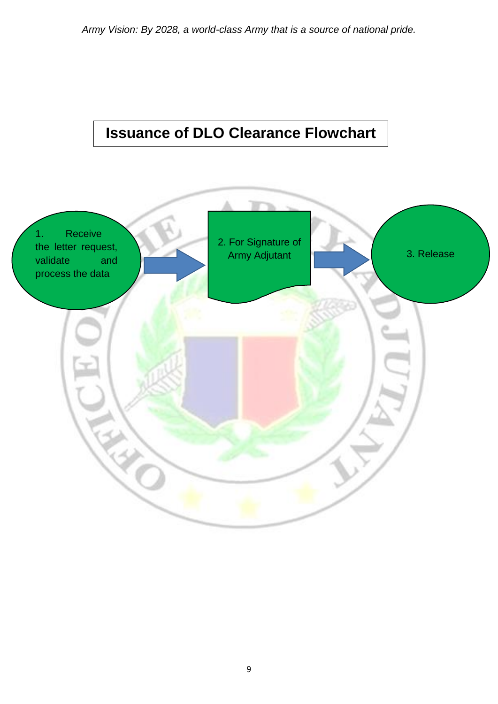## **Issuance of DLO Clearance Flowchart**

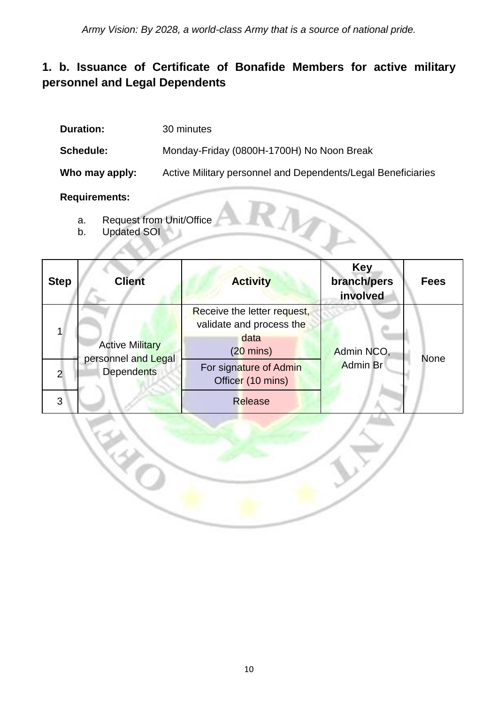#### **1. b. Issuance of Certificate of Bonafide Members for active military personnel and Legal Dependents**

| <b>Duration:</b> | 30 minutes                                                   |
|------------------|--------------------------------------------------------------|
| <b>Schedule:</b> | Monday-Friday (0800H-1700H) No Noon Break                    |
| Who may apply:   | Active Military personnel and Dependents/Legal Beneficiaries |

#### **Requirements:**

- a. Request from Unit/Office
- b. Updated SOI

EN 2

| <b>Step</b>         | <b>Client</b>                                                      | <b>Activity</b>                                                                                                                                         | <b>Key</b><br>branch/pers<br>involved | <b>Fees</b> |
|---------------------|--------------------------------------------------------------------|---------------------------------------------------------------------------------------------------------------------------------------------------------|---------------------------------------|-------------|
| $\overline{2}$<br>3 | <b>Active Military</b><br>personnel and Legal<br><b>Dependents</b> | Receive the letter request,<br>validate and process the<br>data<br>$(20 \text{ mins})$<br>For signature of Admin<br>Officer (10 mins)<br><b>Release</b> | Admin NCO,<br><b>Admin Br</b>         | <b>None</b> |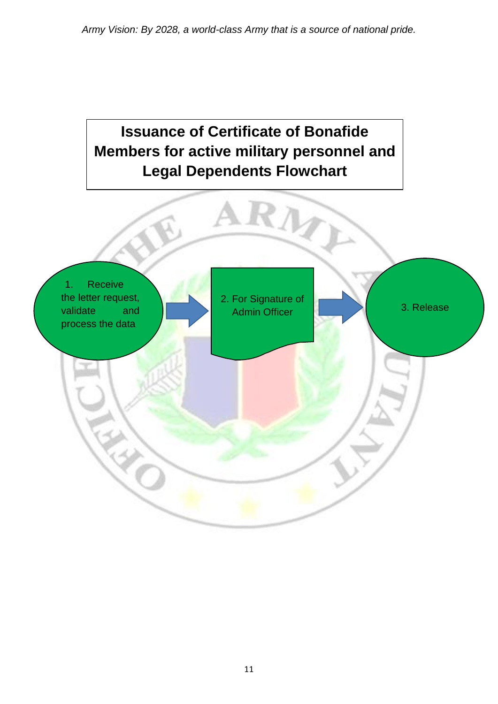# 1. Receive the letter request, validate and process the data 2. For Signature of Admin Officer **1 Administration** 3. Release **Issuance of Certificate of Bonafide Members for active military personnel and Legal Dependents Flowchart**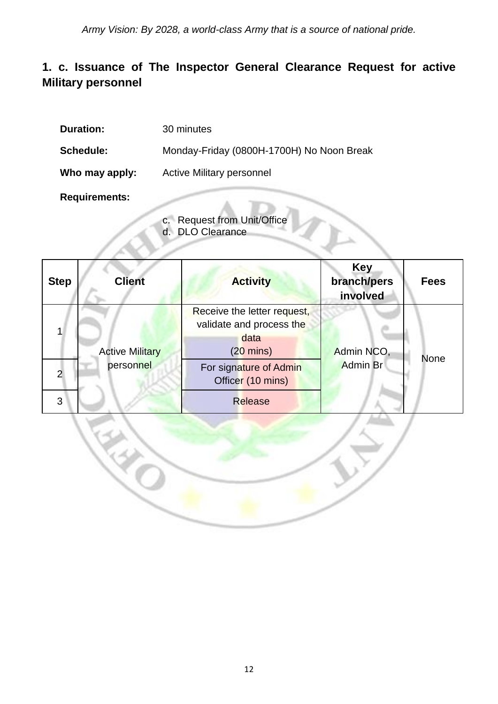#### **1. c. Issuance of The Inspector General Clearance Request for active Military personnel**

| <b>Duration:</b>     | 30 minutes                                |
|----------------------|-------------------------------------------|
| <b>Schedule:</b>     | Monday-Friday (0800H-1700H) No Noon Break |
| Who may apply:       | <b>Active Military personnel</b>          |
| <b>Requirements:</b> |                                           |

- c. Request from Unit/Office
- d. DLO Clearance

EN 2

| <b>Step</b>    | <b>Client</b>          | <b>Activity</b>                                                                        | <b>Key</b><br>branch/pers<br>involved | <b>Fees</b> |
|----------------|------------------------|----------------------------------------------------------------------------------------|---------------------------------------|-------------|
|                | <b>Active Military</b> | Receive the letter request,<br>validate and process the<br>data<br>$(20 \text{ mins})$ | Admin NCO,                            |             |
| $\overline{2}$ | personnel              | For signature of Admin<br>Officer (10 mins)                                            | <b>Admin Br</b>                       | <b>None</b> |
| 3              |                        | <b>Release</b>                                                                         |                                       |             |

L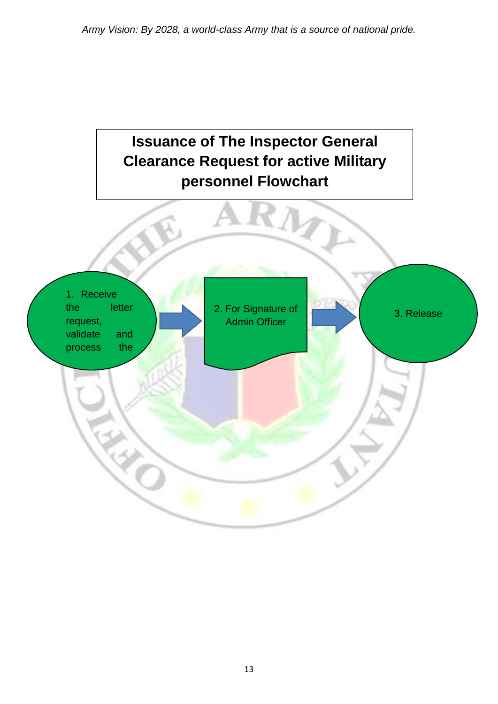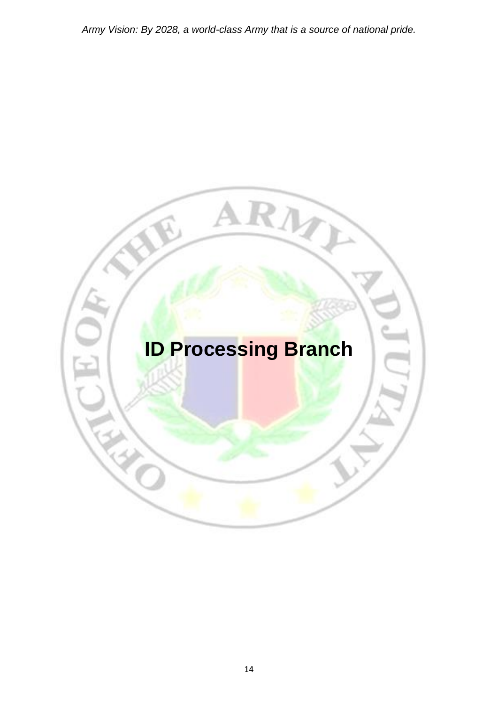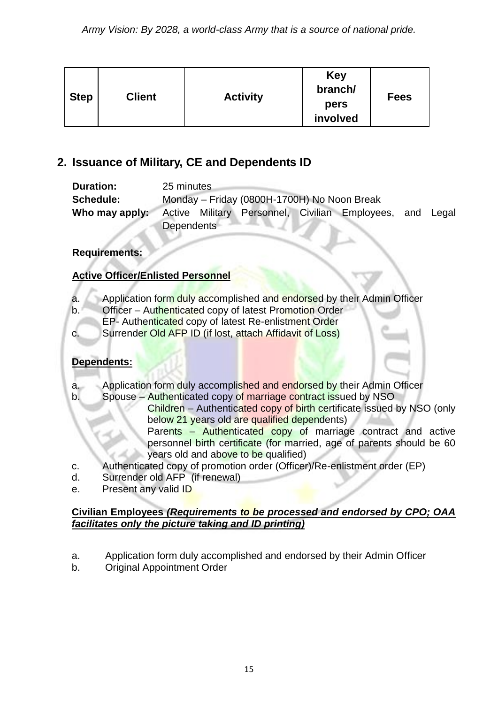| <b>Step</b> | <b>Client</b> | <b>Activity</b> | Key<br>branch/<br>pers<br>involved | <b>Fees</b> |
|-------------|---------------|-----------------|------------------------------------|-------------|
|-------------|---------------|-----------------|------------------------------------|-------------|

#### **2. Issuance of Military, CE and Dependents ID**

| <b>Duration:</b>  | 25 minutes                                  |  |  |                                                          |  |
|-------------------|---------------------------------------------|--|--|----------------------------------------------------------|--|
| <b>Schedule:</b>  | Monday - Friday (0800H-1700H) No Noon Break |  |  |                                                          |  |
| Who may apply:    |                                             |  |  | Active Military Personnel, Civilian Employees, and Legal |  |
| <b>Dependents</b> |                                             |  |  |                                                          |  |

#### **Requirements:**

#### **Active Officer/Enlisted Personnel**

- a. Application form duly accomplished and endorsed by their Admin Officer
- b. Officer Authenticated copy of latest Promotion Order
- EP- Authenticated copy of latest Re-enlistment Order
- c. Surrender Old AFP ID (if lost, attach Affidavit of Loss)

#### **Dependents:**

- a. Application form duly accomplished and endorsed by their Admin Officer
- b. Spouse Authenticated copy of marriage contract issued by NSO
	- Children Authenticated copy of birth certificate issued by NSO (only below 21 years old are qualified dependents)

Parents – Authenticated copy of marriage contract and active personnel birth certificate (for married, age of parents should be 60 years old and above to be qualified)

- c. Authenticated copy of promotion order (Officer)/Re-enlistment order (EP)
- d. Surrender old AFP (if renewal)
- e. Present any valid ID

#### **Civilian Employees** *(Requirements to be processed and endorsed by CPO; OAA facilitates only the picture taking and ID printing)*

- a. Application form duly accomplished and endorsed by their Admin Officer
- b. Original Appointment Order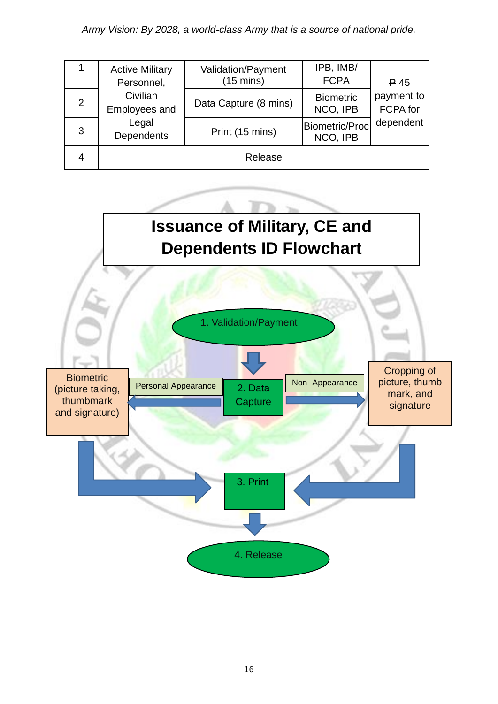|   | <b>Active Military</b><br>Personnel, | Validation/Payment<br>$(15 \text{ mins})$ | IPB, IMB/<br><b>FCPA</b>     | $\trianglerighteq$ 45  |
|---|--------------------------------------|-------------------------------------------|------------------------------|------------------------|
| 2 | Civilian<br>Employees and            | Data Capture (8 mins)                     | <b>Biometric</b><br>NCO, IPB | payment to<br>FCPA for |
| 3 | Legal<br><b>Dependents</b>           | Print (15 mins)                           | Biometric/Proc<br>NCO, IPB   | dependent              |
|   |                                      | Release                                   |                              |                        |

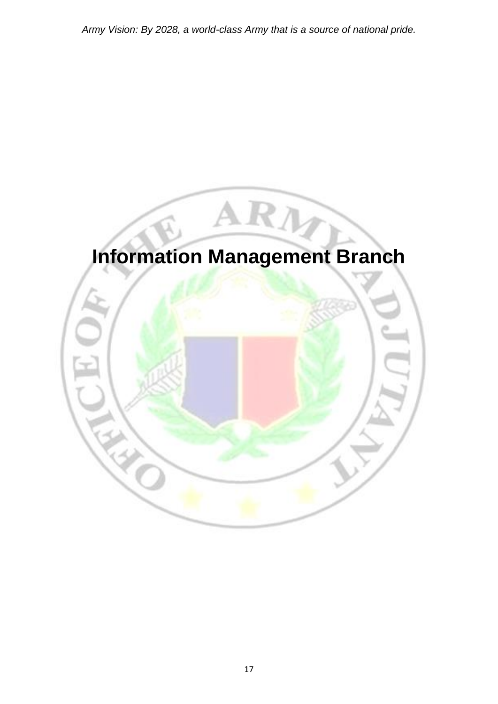# **Information Management Branch**

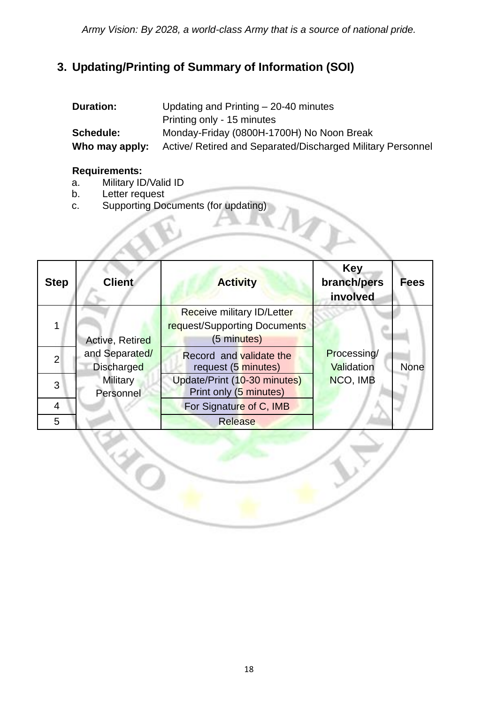#### **3. Updating/Printing of Summary of Information (SOI)**

| <b>Duration:</b> | Updating and Printing $-$ 20-40 minutes                     |
|------------------|-------------------------------------------------------------|
|                  | Printing only - 15 minutes                                  |
| <b>Schedule:</b> | Monday-Friday (0800H-1700H) No Noon Break                   |
| Who may apply:   | Active/ Retired and Separated/Discharged Military Personnel |
|                  |                                                             |

#### **Requirements:**

- a. Military ID/Valid ID
- b. Letter request

E.

c. Supporting Documents (for updating)

|                | C.<br>Supporting Documents (for updating) |                                                                           |                                       |             |  |
|----------------|-------------------------------------------|---------------------------------------------------------------------------|---------------------------------------|-------------|--|
| <b>Step</b>    | <b>Client</b>                             | <b>Activity</b>                                                           | <b>Key</b><br>branch/pers<br>involved | <b>Fees</b> |  |
|                | Active, Retired                           | Receive military ID/Letter<br>request/Supporting Documents<br>(5 minutes) |                                       |             |  |
| $\overline{2}$ | and Separated/<br><b>Discharged</b>       | Record and validate the<br>request (5 minutes)                            | Processing/<br><b>Validation</b>      | <b>None</b> |  |
| 3              | <b>Military</b><br>Personnel              | Update/Print (10-30 minutes)<br>Print only (5 minutes)                    | NCO, IMB                              |             |  |
| 4              |                                           | For Signature of C, IMB                                                   |                                       |             |  |
| 5              |                                           | <b>Release</b>                                                            |                                       |             |  |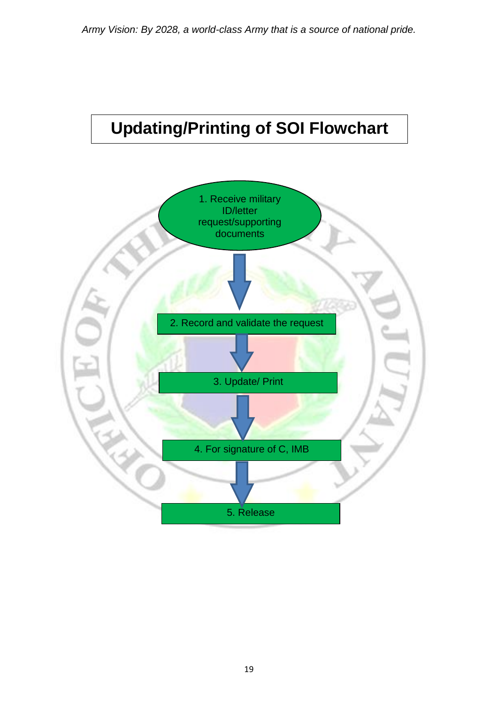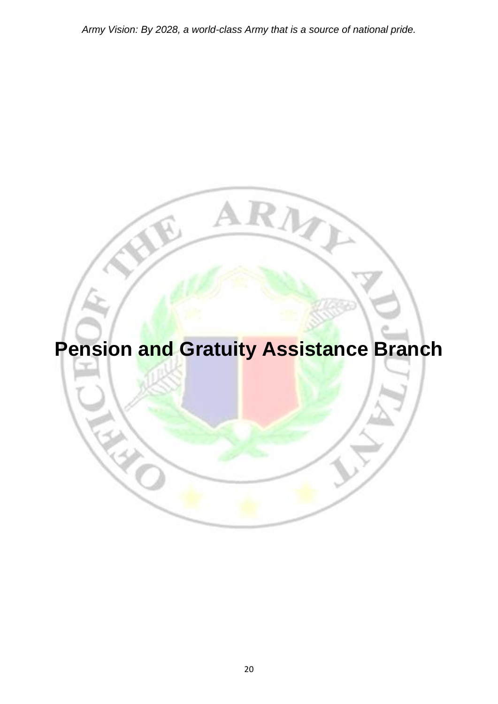# **Pension and Gratuity Assistance Branch**

RIT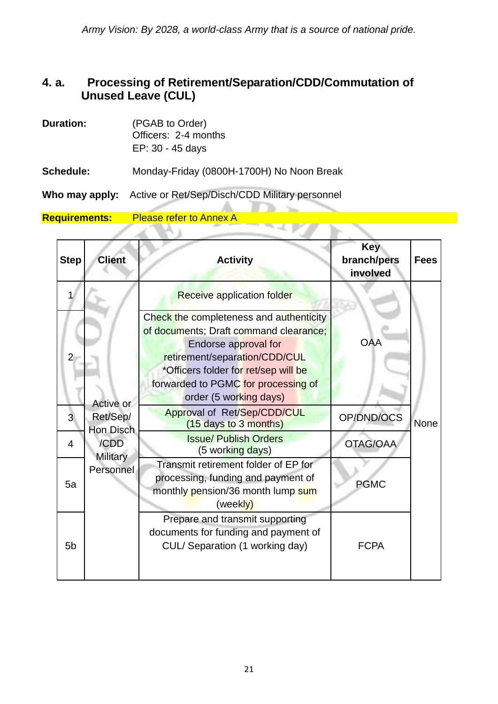#### **4. a. Processing of Retirement/Separation/CDD/Commutation of Unused Leave (CUL)**

| <b>Duration:</b> | (PGAB to Order)<br>Officers: 2-4 months<br>EP: 30 - 45 days |
|------------------|-------------------------------------------------------------|
| <b>Schedule:</b> | Monday-Friday (0800H-1700H) No Noon Break                   |
| Who may apply:   | Active or Ret/Sep/Disch/CDD Military personnel              |

**Requirements:** Please refer to Annex A  $\mathcal{A}$ 

VA 1

| <b>Step</b>    | <b>Client</b>                                                       | <b>Activity</b>                                                                                                                                                                                                                                     | <b>Key</b><br>branch/pers<br>involved | <b>Fees</b> |
|----------------|---------------------------------------------------------------------|-----------------------------------------------------------------------------------------------------------------------------------------------------------------------------------------------------------------------------------------------------|---------------------------------------|-------------|
| 1              |                                                                     | <b>Receive application folder</b>                                                                                                                                                                                                                   |                                       |             |
| $\overline{2}$ | Active or<br>Ret/Sep/<br>Hon Disch<br>/CDD<br>Military<br>Personnel | Check the completeness and authenticity<br>of documents; Draft command clearance;<br>Endorse approval for<br>retirement/separation/CDD/CUL<br>*Officers folder for ret/sep will be<br>forwarded to PGMC for processing of<br>order (5 working days) | <b>OAA</b>                            |             |
| 3              |                                                                     | Approval of Ret/Sep/CDD/CUL<br>(15 days to 3 months)                                                                                                                                                                                                | OP/DND/OCS                            | None        |
| $\overline{4}$ |                                                                     | <b>Issue/ Publish Orders</b><br>(5 working days)                                                                                                                                                                                                    | <b>OTAG/OAA</b>                       |             |
| 5a             |                                                                     | Transmit retirement folder of EP for<br>processing, funding and payment of<br>monthly pension/36 month lump sum<br>(weekly)                                                                                                                         | <b>PGMC</b>                           |             |
| 5 <sub>b</sub> |                                                                     | Prepare and transmit supporting<br>documents for funding and payment of<br>CUL/ Separation (1 working day)                                                                                                                                          | <b>FCPA</b>                           |             |

 $\mathcal{L}$ B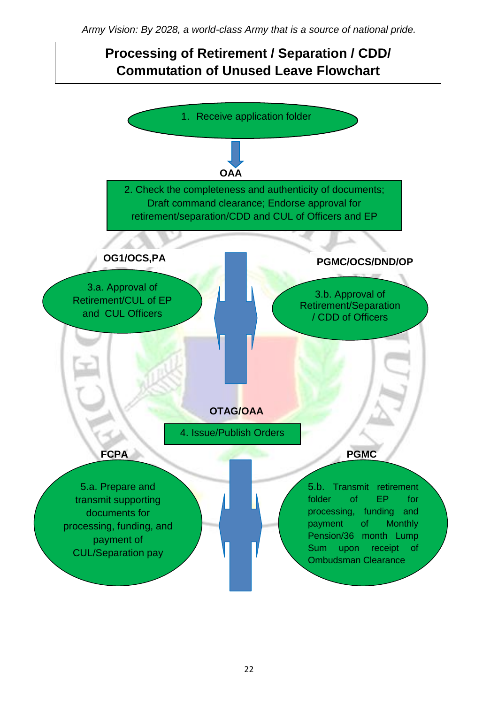#### **Processing of Retirement / Separation / CDD/ Commutation of Unused Leave Flowchart**

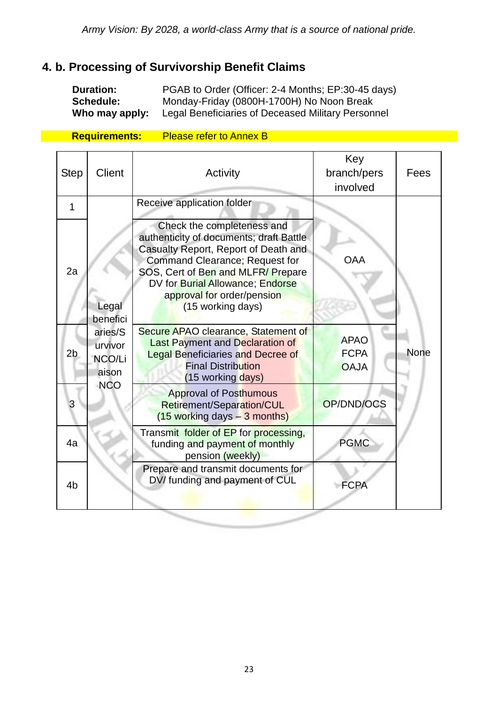#### **4. b. Processing of Survivorship Benefit Claims**

**Duration:** PGAB to Order (Officer: 2-4 Months; EP:30-45 days) **Schedule:** Monday-Friday (0800H-1700H) No Noon Break **Who may apply:** Legal Beneficiaries of Deceased Military Personnel

**Requirements:** Please refer to Annex B

| <b>Step</b>    | <b>Client</b>                         | Activity                                                                                                                                                                                                                                                                    | Key<br>branch/pers<br>involved            | Fees        |
|----------------|---------------------------------------|-----------------------------------------------------------------------------------------------------------------------------------------------------------------------------------------------------------------------------------------------------------------------------|-------------------------------------------|-------------|
| 1              |                                       | Receive application folder                                                                                                                                                                                                                                                  |                                           |             |
| 2a             | Legal<br>benefici                     | Check the completeness and<br>authenticity of documents; draft Battle<br>Casualty Report, Report of Death and<br>Command Clearance; Request for<br>SOS, Cert of Ben and MLFR/Prepare<br>DV for Burial Allowance; Endorse<br>approval for order/pension<br>(15 working days) | <b>OAA</b>                                |             |
| 2 <sub>b</sub> | aries/S<br>urvivor<br>NCO/Li<br>aison | Secure APAO clearance, Statement of<br><b>Last Payment and Declaration of</b><br><b>Legal Beneficiaries and Decree of</b><br><b>Final Distribution</b><br>(15 working days)                                                                                                 | <b>APAO</b><br><b>FCPA</b><br><b>OAJA</b> | <b>None</b> |
| 3              | <b>NCO</b>                            | <b>Approval of Posthumous</b><br>Retirement/Separation/CUL<br>$(15$ working days $-3$ months)                                                                                                                                                                               | OP/DND/OCS                                |             |
| 4a             |                                       | Transmit folder of EP for processing,<br>funding and payment of monthly<br>pension (weekly)                                                                                                                                                                                 | <b>PGMC</b>                               |             |
| 4 <sub>b</sub> |                                       | Prepare and transmit documents for<br>DV/ funding and payment of CUL                                                                                                                                                                                                        | <b>FCPA</b>                               |             |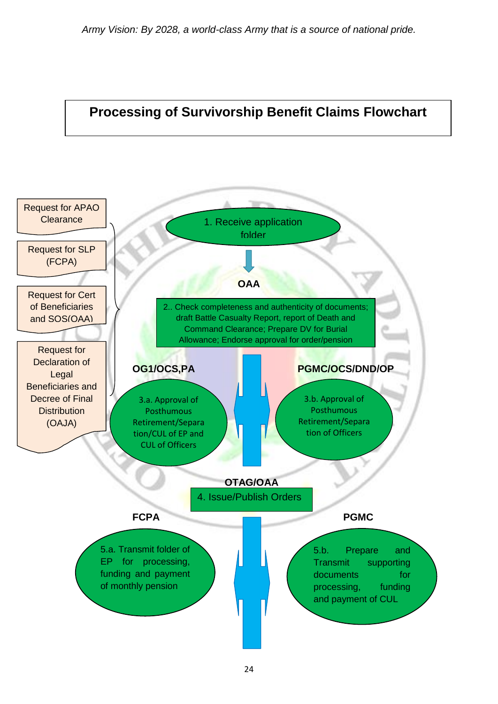![](_page_23_Figure_1.jpeg)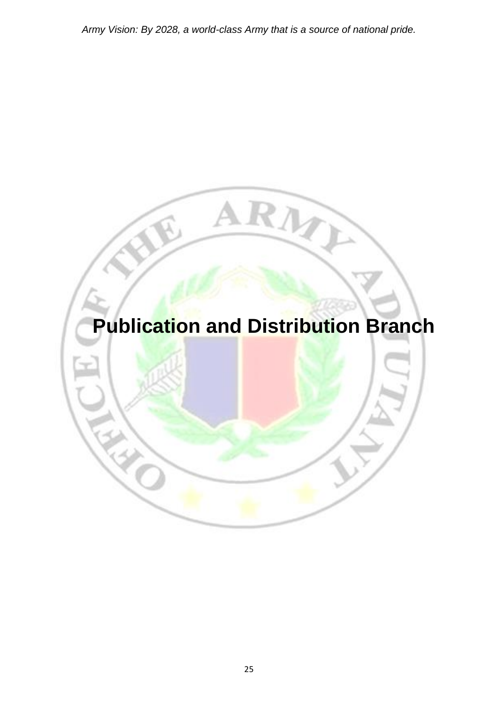![](_page_24_Picture_1.jpeg)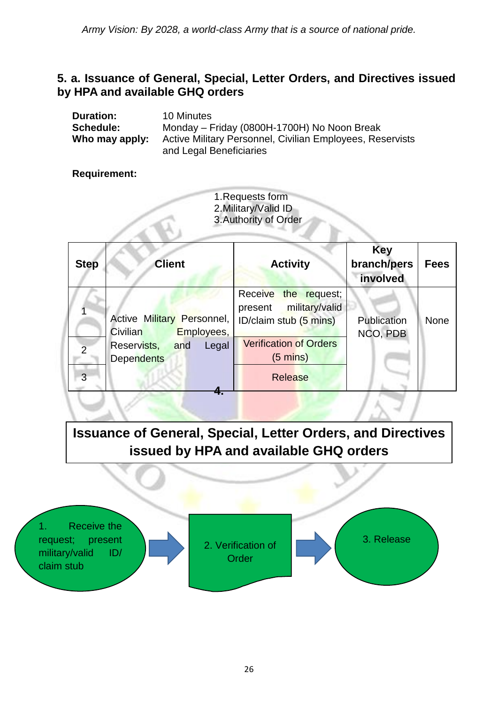#### **5. a. Issuance of General, Special, Letter Orders, and Directives issued by HPA and available GHQ orders**

| <b>Duration:</b> | 10 Minutes                                                                           |
|------------------|--------------------------------------------------------------------------------------|
| <b>Schedule:</b> | Monday – Friday (0800H-1700H) No Noon Break                                          |
| Who may apply:   | Active Military Personnel, Civilian Employees, Reservists<br>and Legal Beneficiaries |

#### **Requirement:**

1.Requests form 2.Military/Valid ID 3.Authority of Order

| <b>Step</b> | <b>Client</b>                                        | <b>Activity</b>                                                                       | <b>Key</b><br>branch/pers<br>involved | <b>Fees</b> |
|-------------|------------------------------------------------------|---------------------------------------------------------------------------------------|---------------------------------------|-------------|
|             | Active Military Personnel,<br>Civilian<br>Employees, | <b>Receive</b><br>the request;<br>military/valid<br>present<br>ID/claim stub (5 mins) | Publication<br>NCO, PDB               | None        |
| C           | Reservists,<br>and<br>Legal<br><b>Dependents</b>     | <b>Verification of Orders</b><br>$(5 \text{ mins})$                                   |                                       |             |
| 3           |                                                      | <b>Release</b>                                                                        |                                       |             |

**Issuance of General, Special, Letter Orders, and Directives issued by HPA and available GHQ orders**

![](_page_25_Figure_7.jpeg)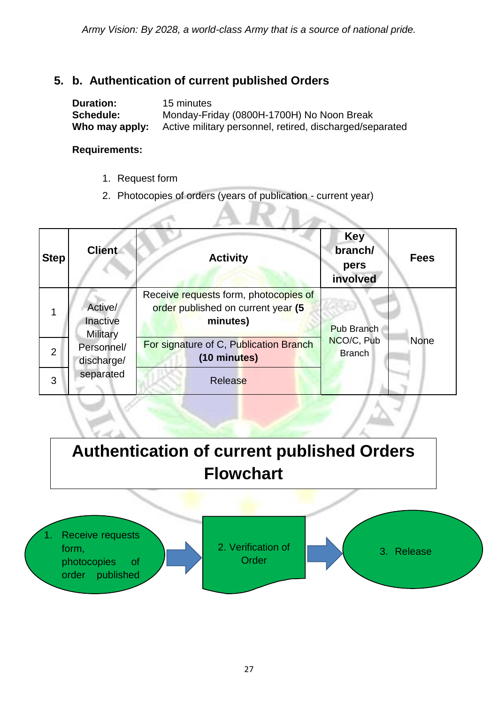#### **5. b. Authentication of current published Orders**

| <b>Duration:</b> | 15 minutes                                               |
|------------------|----------------------------------------------------------|
| <b>Schedule:</b> | Monday-Friday (0800H-1700H) No Noon Break                |
| Who may apply:   | Active military personnel, retired, discharged/separated |

#### **Requirements:**

1. Request form

 $-46$ 

2. Photocopies of orders (years of publication - current year)

**Carl** 

| <b>Step</b>    | <b>Client</b>                                                                   | <b>Activity</b>                                                                         | <b>Key</b><br>branch/<br>pers<br>involved | <b>Fees</b> |
|----------------|---------------------------------------------------------------------------------|-----------------------------------------------------------------------------------------|-------------------------------------------|-------------|
|                | Active/<br>Inactive<br><b>Military</b><br>Personnel/<br>discharge/<br>separated | Receive requests form, photocopies of<br>order published on current year (5<br>minutes) | <b>Pub Branch</b>                         |             |
| $\overline{2}$ |                                                                                 | For signature of C, Publication Branch<br>(10 minutes)                                  | NCO/C, Pub<br><b>Branch</b>               | None        |
| 3              |                                                                                 | Release                                                                                 |                                           |             |

**Authentication of current published Orders Flowchart**

![](_page_26_Figure_8.jpeg)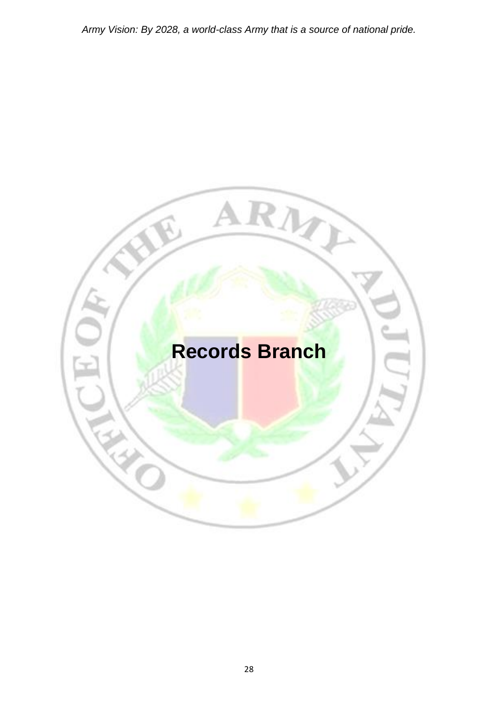![](_page_27_Picture_1.jpeg)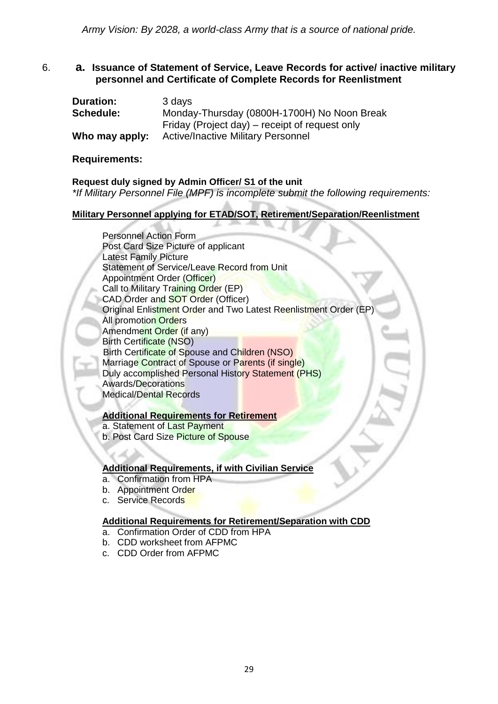#### 6. **a. Issuance of Statement of Service, Leave Records for active/ inactive military personnel and Certificate of Complete Records for Reenlistment**

| <b>Duration:</b> | 3 days                                         |
|------------------|------------------------------------------------|
| Schedule:        | Monday-Thursday (0800H-1700H) No Noon Break    |
|                  | Friday (Project day) – receipt of request only |
| Who may apply:   | <b>Active/Inactive Military Personnel</b>      |

#### **Requirements:**

#### **Request duly signed by Admin Officer/ S1 of the unit**

*\*If Military Personnel File (MPF) is incomplete submit the following requirements:*

#### **Military Personnel applying for ETAD/SOT, Retirement/Separation/Reenlistment**

Personnel Action Form Post Card Size Picture of applicant Latest Family Picture Statement of Service/Leave Record from Unit Appointment Order (Officer) Call to Military Training Order (EP) CAD Order and SOT Order (Officer) Original Enlistment Order and Two Latest Reenlistment Order (EP) All promotion Orders Amendment Order (if any) Birth Certificate (NSO) Birth Certificate of Spouse and Children (NSO) Marriage Contract of Spouse or Parents (if single) Duly accomplished Personal History Statement (PHS) Awards/Decorations Medical/Dental Records

#### **Additional Requirements for Retirement**

- a. Statement of Last Payment
- b. Post Card Size Picture of Spouse

#### **Additional Requirements, if with Civilian Service**

- a. Confirmation from HPA
- b. Appointment Order
- c. Service Records

#### **Additional Requirements for Retirement/Separation with CDD**

- a. Confirmation Order of CDD from HPA
- b. CDD worksheet from AFPMC
- c. CDD Order from AFPMC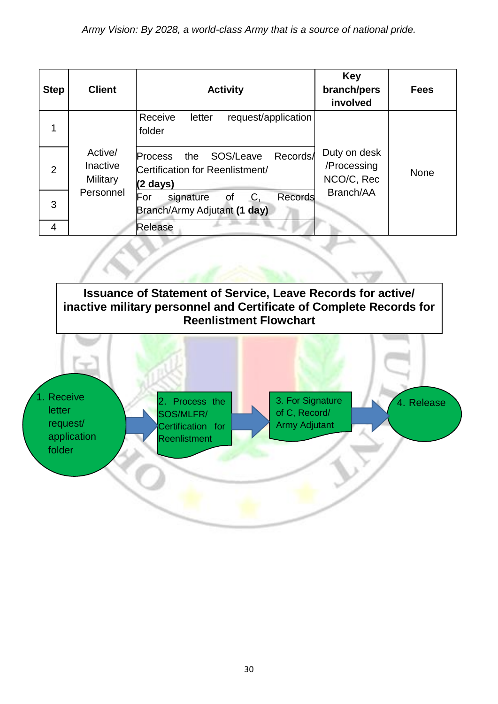| <b>Step</b>    | <b>Client</b>                                              | <b>Activity</b>                                                                               | <b>Key</b><br>branch/pers<br>involved     | <b>Fees</b> |
|----------------|------------------------------------------------------------|-----------------------------------------------------------------------------------------------|-------------------------------------------|-------------|
| 1              |                                                            | Receive<br>request/application<br>letter<br>folder                                            |                                           |             |
| $\overline{2}$ | Active/<br><b>Inactive</b><br><b>Military</b><br>Personnel | Records/<br>SOS/Leave<br>the<br><b>Process</b><br>Certification for Reenlistment/<br>(2 days) | Duty on desk<br>/Processing<br>NCO/C, Rec | <b>None</b> |
| 3              |                                                            | For<br>Records<br>C,<br>signature<br><sub>of</sub><br>Branch/Army Adjutant (1 day)            | Branch/AA                                 |             |
| 4              |                                                            | Release                                                                                       |                                           |             |

![](_page_29_Picture_2.jpeg)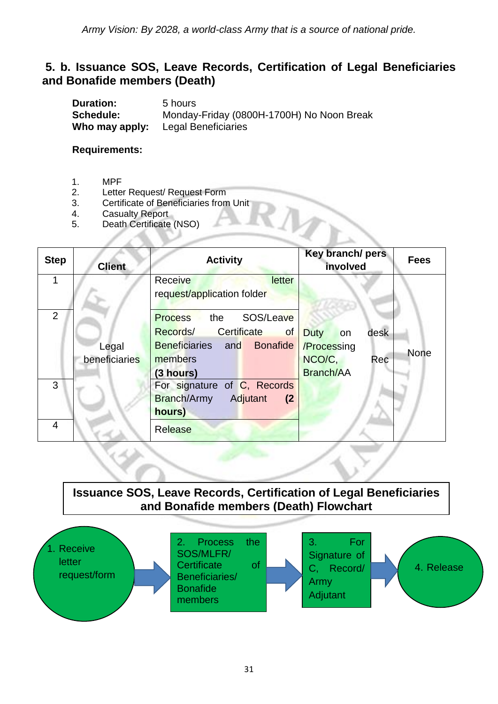#### **5. b. Issuance SOS, Leave Records, Certification of Legal Beneficiaries and Bonafide members (Death)**

**Duration:** 5 hours **Schedule:** Monday-Friday (0800H-1700H) No Noon Break<br> **Who may apply:** Legal Beneficiaries **Who may apply:** 

**Requirements:**

- 1. MPF
- 2. Letter Request/ Request Form
- 3. Certificate of Beneficiaries from Unit
- 4. Casualty Report
- 5. Death Certificate (NSO)

| <b>Step</b>    | <b>Client</b> | <b>Activity</b>                                                     | Key branch/ pers<br>involved | <b>Fees</b> |
|----------------|---------------|---------------------------------------------------------------------|------------------------------|-------------|
|                |               | letter<br>Receive<br>request/application folder                     |                              |             |
| $\overline{2}$ |               | SOS/Leave<br>the<br><b>Process</b><br>Records/<br>Certificate<br>of | desk<br><b>Duty</b><br>on    |             |
|                | Legal         | <b>Bonafide</b><br><b>Beneficiaries</b> and                         | /Processing                  | <b>None</b> |
|                | beneficiaries | members                                                             | NCO/C,<br>Rec                |             |
|                |               | (3 hours)                                                           | <b>Branch/AA</b>             |             |
| 3              |               | For signature of C, Records                                         |                              |             |
|                |               | Branch/Army<br>Adjutant<br>(2)                                      |                              |             |
|                |               | hours)                                                              |                              |             |
| 4              |               | <b>Release</b>                                                      |                              |             |

**Issuance SOS, Leave Records, Certification of Legal Beneficiaries and Bonafide members (Death) Flowchart**

![](_page_30_Figure_11.jpeg)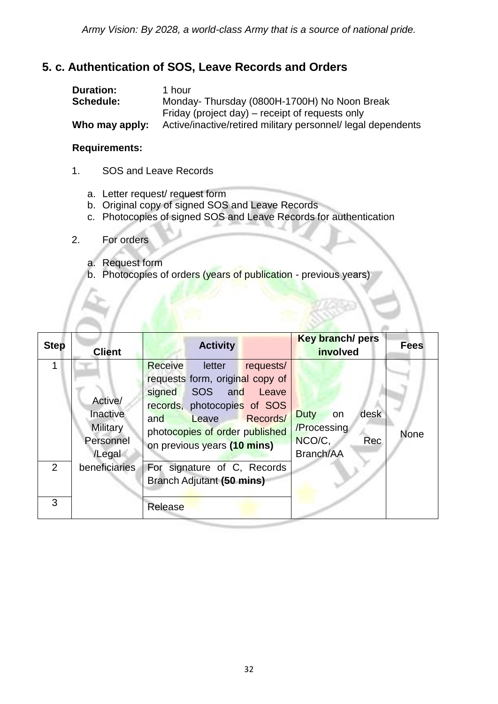#### **5. c. Authentication of SOS, Leave Records and Orders**

| <b>Duration:</b> | 1 hour                                                       |
|------------------|--------------------------------------------------------------|
| Schedule:        | Monday-Thursday (0800H-1700H) No Noon Break                  |
|                  | Friday (project day) – receipt of requests only              |
| Who may apply:   | Active/inactive/retired military personnel/ legal dependents |

#### **Requirements:**

- 1. SOS and Leave Records
	- a. Letter request/ request form
	- b. Original copy of signed SOS and Leave Records
	- c. Photocopies of signed SOS and Leave Records for authentication
- 2. For orders
	- a. Request form
	- b. Photocopies of orders (years of publication previous years)

| <b>Step</b>    | <b>Client</b>                                          | <b>Activity</b>                                                                                                                                                                                                             | <b>Key branch/ pers</b><br>involved                             | <b>Fees</b> |
|----------------|--------------------------------------------------------|-----------------------------------------------------------------------------------------------------------------------------------------------------------------------------------------------------------------------------|-----------------------------------------------------------------|-------------|
|                | Active/<br>Inactive<br>Military<br>Personnel<br>/Legal | Receive<br>requests/<br>letter<br>requests form, original copy of<br>SOS and<br>signed<br>Leave<br>records, photocopies of SOS<br>Records/<br>Leave<br>and<br>photocopies of order published<br>on previous years (10 mins) | desk<br>Duty<br>on<br>/Processing<br>NCO/C,<br>Rec<br>Branch/AA | <b>None</b> |
| $\overline{2}$ | beneficiaries                                          | For signature of C, Records<br>Branch Adjutant (50 mins)                                                                                                                                                                    |                                                                 |             |
| 3              |                                                        | Release                                                                                                                                                                                                                     |                                                                 |             |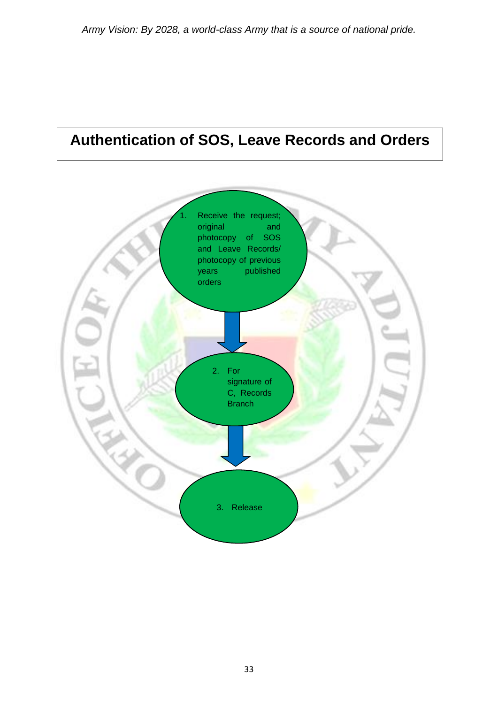## **Authentication of SOS, Leave Records and Orders**

![](_page_32_Figure_2.jpeg)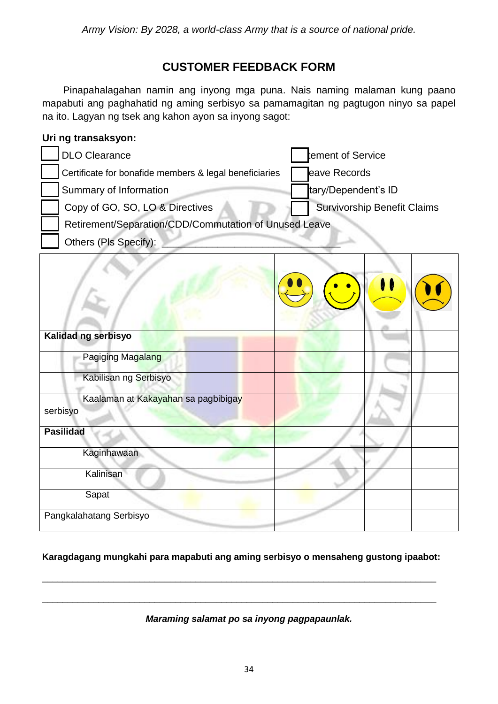#### **CUSTOMER FEEDBACK FORM**

 Pinapahalagahan namin ang inyong mga puna. Nais naming malaman kung paano mapabuti ang paghahatid ng aming serbisyo sa pamamagitan ng pagtugon ninyo sa papel na ito. Lagyan ng tsek ang kahon ayon sa inyong sagot:

| Uri ng transaksyon:                                    |                                    |
|--------------------------------------------------------|------------------------------------|
| <b>DLO Clearance</b>                                   | ement of Service                   |
| Certificate for bonafide members & legal beneficiaries | eave Records                       |
| Summary of Information                                 | tary/Dependent's ID                |
| Copy of GO, SO, LO & Directives                        | <b>Survivorship Benefit Claims</b> |
| Retirement/Separation/CDD/Commutation of Unused Leave  |                                    |
| Others (Pls Specify):                                  |                                    |
|                                                        |                                    |
| Kalidad ng serbisyo                                    |                                    |
| Pagiging Magalang                                      |                                    |
| Kabilisan ng Serbisyo                                  |                                    |
| Kaalaman at Kakayahan sa pagbibigay<br>serbisyo        |                                    |
| <b>Pasilidad</b>                                       |                                    |
| Kaginhawaan                                            |                                    |
| Kalinisan                                              |                                    |
| Sapat                                                  |                                    |
| Pangkalahatang Serbisyo                                |                                    |

**Karagdagang mungkahi para mapabuti ang aming serbisyo o mensaheng gustong ipaabot:**

\_\_\_\_\_\_\_\_\_\_\_\_\_\_\_\_\_\_\_\_\_\_\_\_\_\_\_\_\_\_\_\_\_\_\_\_\_\_\_\_\_\_\_\_\_\_\_\_\_\_\_\_\_\_\_\_\_\_\_\_\_\_\_\_\_\_\_\_\_\_\_\_\_\_\_\_\_

\_\_\_\_\_\_\_\_\_\_\_\_\_\_\_\_\_\_\_\_\_\_\_\_\_\_\_\_\_\_\_\_\_\_\_\_\_\_\_\_\_\_\_\_\_\_\_\_\_\_\_\_\_\_\_\_\_\_\_\_\_\_\_\_\_\_\_\_\_\_\_\_\_\_\_\_\_

#### *Maraming salamat po sa inyong pagpapaunlak.*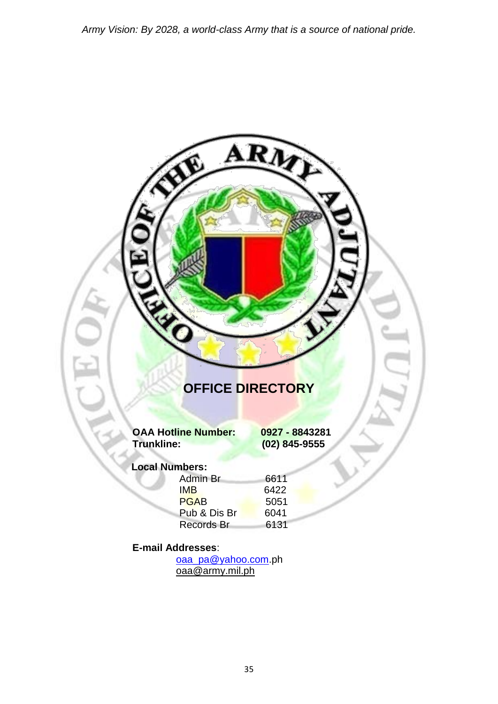# ARM FE **OFFICE DIRECTORY OAA Hotline Number: 0927 - 8843281 Trunkline: (02) 845-9555 Local Numbers:** Admin Br 6611<br>
IMB 6422 **IMB** 6422 PGAB 5051 Pub & Dis Br 6041 Records Br 6131 **E-mail Addresses**: [oaa\\_pa@yahoo.com.](mailto:oaa_pa@yahoo.com)ph [oaa@army.mil.ph](mailto:oaa@army.mil.ph)

35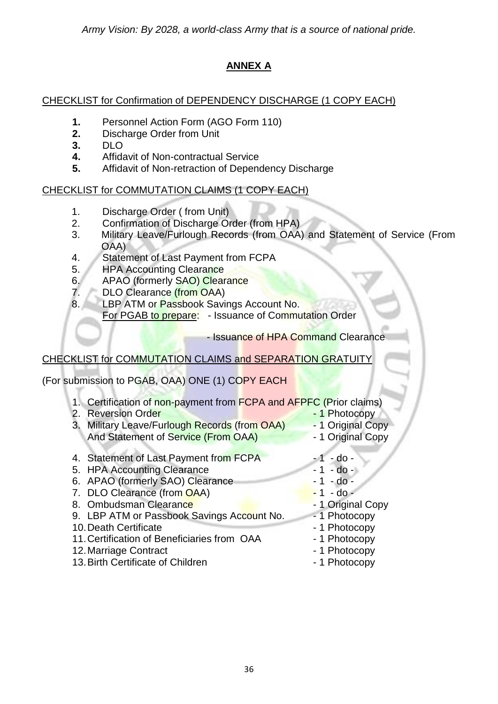#### **ANNEX A**

#### CHECKLIST for Confirmation of DEPENDENCY DISCHARGE (1 COPY EACH)

- **1.** Personnel Action Form (AGO Form 110)
- **2.** Discharge Order from Unit
- **3.** DLO
- **4.** Affidavit of Non-contractual Service
- **5.** Affidavit of Non-retraction of Dependency Discharge

#### CHECKLIST for COMMUTATION CLAIMS (1 COPY EACH)

- 1. Discharge Order ( from Unit)
- 2. Confirmation of Discharge Order (from HPA)
- 3. Military Leave/Furlough Records (from OAA) and Statement of Service (From OAA)
- 4. Statement of Last Payment from FCPA
- 5. HPA Accounting Clearance
- 6. APAO (formerly SAO) Clearance
- 7. DLO Clearance (from OAA)
- 8. LBP ATM or Passbook Savings Account No. For PGAB to prepare: - Issuance of Commutation Order

- Issuance of HPA Command Clearance

#### CHECKLIST for COMMUTATION CLAIMS and SEPARATION GRATUITY

(For submission to PGAB, OAA) ONE (1) COPY EACH

- 1. Certification of non-payment from FCPA and AFPFC (Prior claims)
- 2. Reversion Order **1 Photocopy** 3. Military Leave/Furlough Records (from OAA) - 1 Original Copy And Statement of Service (From OAA) - 1 Original Copy 4. Statement of Last Payment from FCPA - 1 - do -5. HPA Accounting Clearance - 1 - do -6. APAO (formerly SAO) Clearance - 1 - do -<br>7. DLO Clearance (from OAA) - 1 - do -7. DLO Clearance (from OAA) 8. Ombudsman Clearance **1988** - 1 Original Copy 9. LBP ATM or Passbook Savings Account No. - 1 Photocopy 10. Death Certificate - 1 Photocopy 11. Certification of Beneficiaries from OAA - 1 Photocopy 12. Marriage Contract **12. Marriage Contract**
- 13. Birth Certificate of Children 1 Photocopy
	-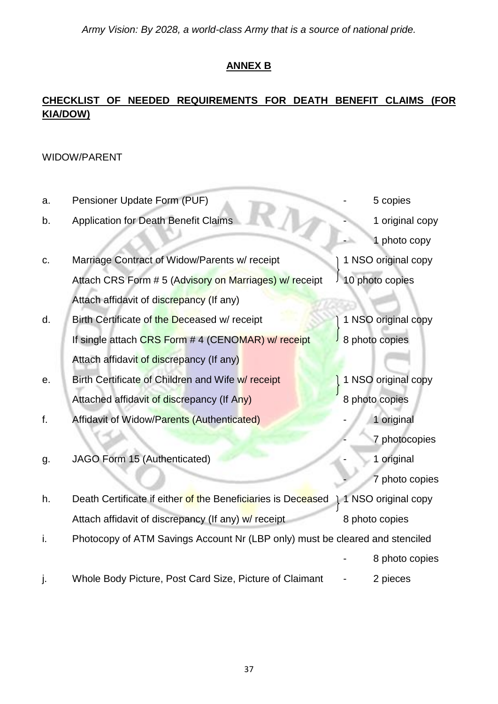#### **ANNEX B**

#### **CHECKLIST OF NEEDED REQUIREMENTS FOR DEATH BENEFIT CLAIMS (FOR KIA/DOW)**

#### WIDOW/PARENT

| a. | Pensioner Update Form (PUF)                                                  | 5 copies                         |
|----|------------------------------------------------------------------------------|----------------------------------|
| b. | <b>Application for Death Benefit Claims</b>                                  | 1 original copy                  |
|    |                                                                              | $\Delta_{\rm b}$<br>1 photo copy |
| C. | Marriage Contract of Widow/Parents w/ receipt                                | 1 NSO original copy              |
|    | Attach CRS Form #5 (Advisory on Marriages) w/ receipt                        | 10 photo copies                  |
|    | Attach affidavit of discrepancy (If any)                                     |                                  |
| d. | Birth Certificate of the Deceased w/ receipt                                 | 1 NSO original copy              |
|    | If single attach CRS Form # 4 (CENOMAR) w/ receipt                           | 8 photo copies                   |
|    | Attach affidavit of discrepancy (If any)                                     |                                  |
| е. | Birth Certificate of Children and Wife w/ receipt                            | 1 NSO original copy              |
|    | Attached affidavit of discrepancy (If Any)                                   | 8 photo copies                   |
| f. | Affidavit of Widow/Parents (Authenticated)                                   | 1 original                       |
|    |                                                                              | 7 photocopies                    |
| g. | JAGO Form 15 (Authenticated)                                                 | 1 original                       |
|    |                                                                              | 7 photo copies                   |
| h. | Death Certificate if either of the Beneficiaries is Deceased                 | 1 NSO original copy              |
|    | Attach affidavit of discrepancy (If any) w/ receipt                          | 8 photo copies                   |
| i. | Photocopy of ATM Savings Account Nr (LBP only) must be cleared and stenciled |                                  |
|    |                                                                              | 8 photo copies                   |
| j. | Whole Body Picture, Post Card Size, Picture of Claimant                      | 2 pieces                         |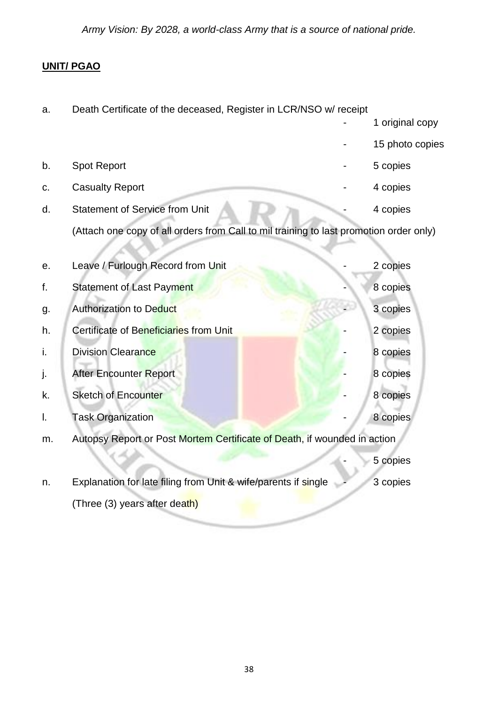#### **UNIT/ PGAO**

| a. | Death Certificate of the deceased, Register in LCR/NSO w/ receipt                      |                 |
|----|----------------------------------------------------------------------------------------|-----------------|
|    |                                                                                        | 1 original copy |
|    |                                                                                        | 15 photo copies |
| b. | <b>Spot Report</b>                                                                     | 5 copies        |
| c. | <b>Casualty Report</b>                                                                 | 4 copies        |
| d. | <b>Statement of Service from Unit</b>                                                  | 4 copies        |
|    | (Attach one copy of all orders from Call to mil training to last promotion order only) |                 |
|    |                                                                                        |                 |
| е. | Leave / Furlough Record from Unit                                                      | 2 copies        |
| f. | <b>Statement of Last Payment</b>                                                       | 8 copies        |
| g. | <b>Authorization to Deduct</b>                                                         | 3 copies        |
| h. | Certificate of Beneficiaries from Unit                                                 | 2 copies        |
| i. | <b>Division Clearance</b>                                                              | 8 copies        |
| j. | After Encounter Report                                                                 | 8 copies        |
| k. | <b>Sketch of Encounter</b>                                                             | 8 copies        |
| I. | <b>Task Organization</b>                                                               | 8 copies        |
| m. | Autopsy Report or Post Mortem Certificate of Death, if wounded in action               |                 |
|    |                                                                                        | 5 copies        |
| n. | Explanation for late filing from Unit & wife/parents if single                         | 3 copies        |
|    | (Three (3) years after death)                                                          |                 |
|    |                                                                                        |                 |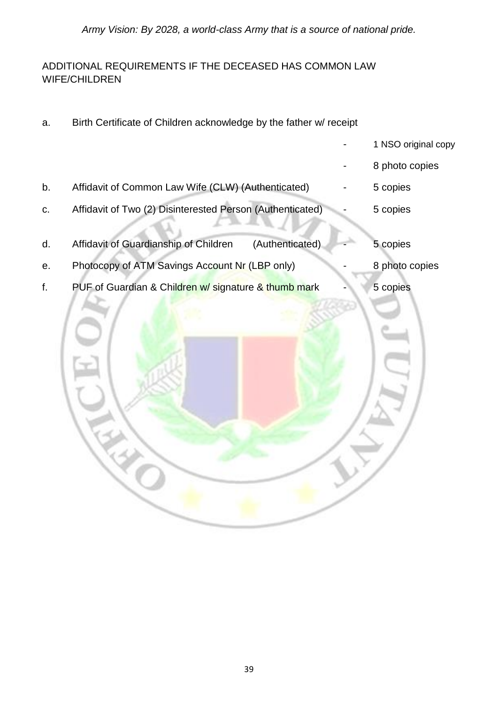#### ADDITIONAL REQUIREMENTS IF THE DECEASED HAS COMMON LAW WIFE/CHILDREN

a. Birth Certificate of Children acknowledge by the father w/ receipt

|                                                           | 8 photo copies |                     |
|-----------------------------------------------------------|----------------|---------------------|
| Affidavit of Common Law Wife (CLW) (Authenticated)        | 5 copies       |                     |
| Affidavit of Two (2) Disinterested Person (Authenticated) | 5 copies       |                     |
| Affidavit of Guardianship of Children<br>(Authenticated)  | 5 copies       |                     |
| Photocopy of ATM Savings Account Nr (LBP only)            | 8 photo copies |                     |
| PUF of Guardian & Children w/ signature & thumb mark      | 5 copies       |                     |
|                                                           |                | 1 NSO original copy |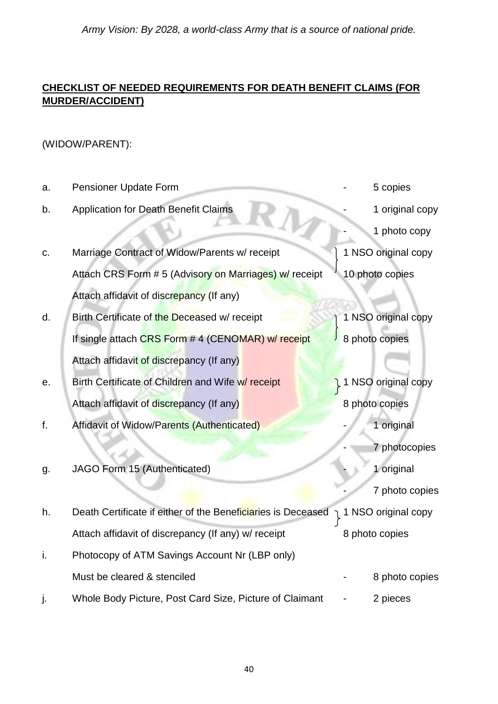#### **CHECKLIST OF NEEDED REQUIREMENTS FOR DEATH BENEFIT CLAIMS (FOR MURDER/ACCIDENT)**

#### (WIDOW/PARENT):

| a. | Pensioner Update Form                                        | 5 copies              |
|----|--------------------------------------------------------------|-----------------------|
| b. | <b>Application for Death Benefit Claims</b>                  | 1 original copy       |
|    | $\mathbb{Z}$                                                 | 1 photo copy          |
| C. | Marriage Contract of Widow/Parents w/ receipt                | 1 NSO original copy   |
|    | Attach CRS Form #5 (Advisory on Marriages) w/ receipt        | 10 photo copies       |
|    | Attach affidavit of discrepancy (If any)                     |                       |
| d. | Birth Certificate of the Deceased w/ receipt                 | 1 NSO original copy   |
|    | If single attach CRS Form # 4 (CENOMAR) w/ receipt           | 8 photo copies        |
|    | Attach affidavit of discrepancy (If any)                     |                       |
| е. | Birth Certificate of Children and Wife w/ receipt            | 1 NSO original copy   |
|    | Attach affidavit of discrepancy (If any)                     | 8 photo copies        |
| f. | Affidavit of Widow/Parents (Authenticated)                   | 1 original            |
|    |                                                              | 7 photocopies         |
| g. | JAGO Form 15 (Authenticated)                                 | 1 original            |
|    |                                                              | 7 photo copies        |
| h. | Death Certificate if either of the Beneficiaries is Deceased | ן 1 NSO original copy |
|    | Attach affidavit of discrepancy (If any) w/ receipt          | 8 photo copies        |
| i. | Photocopy of ATM Savings Account Nr (LBP only)               |                       |
|    | Must be cleared & stenciled                                  | 8 photo copies        |
|    | Whole Body Picture, Post Card Size, Picture of Claimant      | 2 pieces              |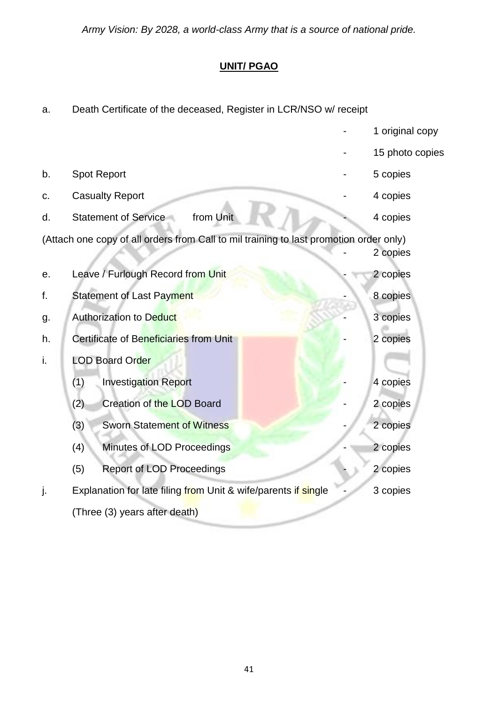#### **UNIT/ PGAO**

| а. | Death Certificate of the deceased, Register in LCR/NSO W/Tecelpt                       |                 |
|----|----------------------------------------------------------------------------------------|-----------------|
|    |                                                                                        | 1 original copy |
|    |                                                                                        | 15 photo copies |
| b. | <b>Spot Report</b>                                                                     | 5 copies        |
| c. | <b>Casualty Report</b>                                                                 | 4 copies        |
| d. | from Unit<br><b>Statement of Service</b>                                               | 4 copies        |
|    | (Attach one copy of all orders from Call to mil training to last promotion order only) | 2 copies        |
| е. | Leave / Furlough Record from Unit                                                      | 2 copies        |
| f. | <b>Statement of Last Payment</b>                                                       | 8 copies        |
| g. | Authorization to Deduct                                                                | 3 copies        |
| h. | Certificate of Beneficiaries from Unit                                                 | 2 copies        |
| i. | <b>LOD Board Order</b>                                                                 |                 |
|    | (1)<br><b>Investigation Report</b>                                                     | 4 copies        |
|    | (2)<br>Creation of the LOD Board                                                       | 2 copies        |
|    | (3)<br><b>Sworn Statement of Witness</b>                                               | 2 copies        |
|    | Minutes of LOD Proceedings<br>(4)                                                      | 2 copies        |
|    | (5)<br><b>Report of LOD Proceedings</b>                                                | 2 copies        |
| j. | Explanation for late filing from Unit & wife/parents if single                         | 3 copies        |
|    | (Three (3) years after death)                                                          |                 |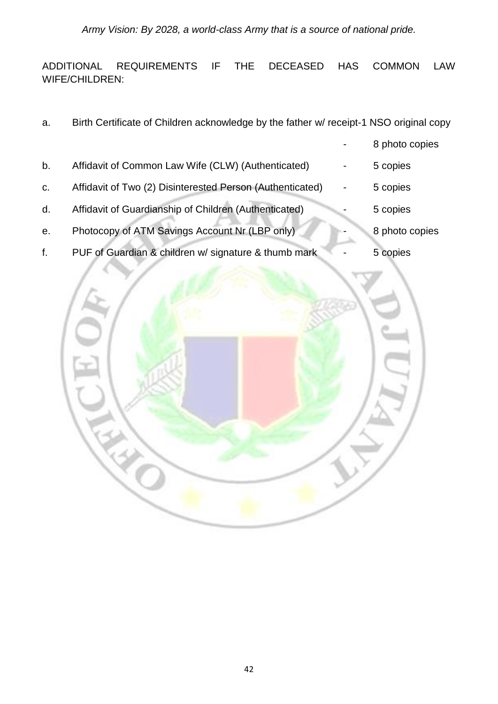ADDITIONAL REQUIREMENTS IF THE DECEASED HAS COMMON LAW WIFE/CHILDREN:

a. Birth Certificate of Children acknowledge by the father w/ receipt-1 NSO original copy 8 photo copies b. Affidavit of Common Law Wife (CLW) (Authenticated) - 5 copies c. Affidavit of Two (2) Disinterested Person (Authenticated) - 5 copies d. Affidavit of Guardianship of Children (Authenticated) - 5 copies e. Photocopy of ATM Savings Account Nr (LBP only) **-** 8 photo copies f. PUF of Guardian & children w/ signature & thumb mark - 5 copies

![](_page_41_Picture_3.jpeg)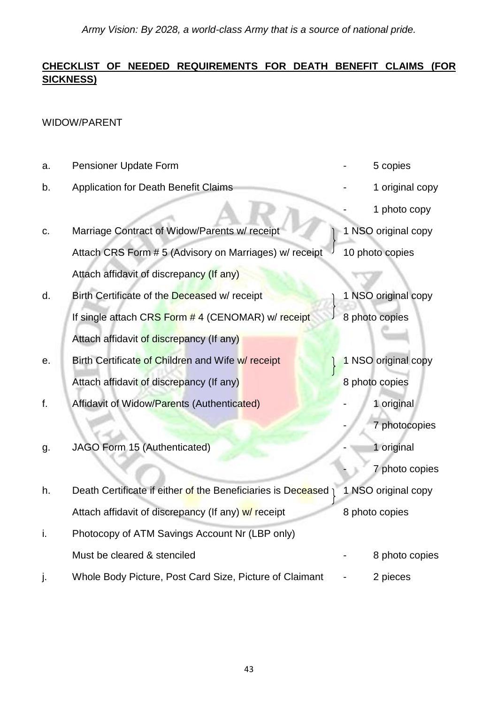#### **CHECKLIST OF NEEDED REQUIREMENTS FOR DEATH BENEFIT CLAIMS (FOR SICKNESS)**

#### WIDOW/PARENT

| a. | Pensioner Update Form                                          | 5 copies            |
|----|----------------------------------------------------------------|---------------------|
| b. | <b>Application for Death Benefit Claims</b>                    | 1 original copy     |
|    |                                                                | 1 photo copy        |
| c. | Marriage Contract of Widow/Parents w/ receipt                  | 1 NSO original copy |
|    | Attach CRS Form # 5 (Advisory on Marriages) w/ receipt         | 10 photo copies     |
|    | Attach affidavit of discrepancy (If any)                       |                     |
| d. | Birth Certificate of the Deceased w/ receipt                   | 1 NSO original copy |
|    | If single attach CRS Form # 4 (CENOMAR) w/receipt              | 8 photo copies      |
|    | Attach affidavit of discrepancy (If any)                       |                     |
| е. | Birth Certificate of Children and Wife w/ receipt              | 1 NSO original copy |
|    | Attach affidavit of discrepancy (If any)                       | 8 photo copies      |
| f. | Affidavit of Widow/Parents (Authenticated)                     | 1 original          |
|    |                                                                | 7 photocopies       |
| g. | JAGO Form 15 (Authenticated)                                   | 1 original          |
|    |                                                                | 7 photo copies      |
| h. | Death Certificate if either of the Beneficiaries is Deceased 1 | 1 NSO original copy |
|    | Attach affidavit of discrepancy (If any) w/ receipt            | 8 photo copies      |
| i. | Photocopy of ATM Savings Account Nr (LBP only)                 |                     |
|    | Must be cleared & stenciled                                    | 8 photo copies      |
|    | Whole Body Picture, Post Card Size, Picture of Claimant        | 2 pieces            |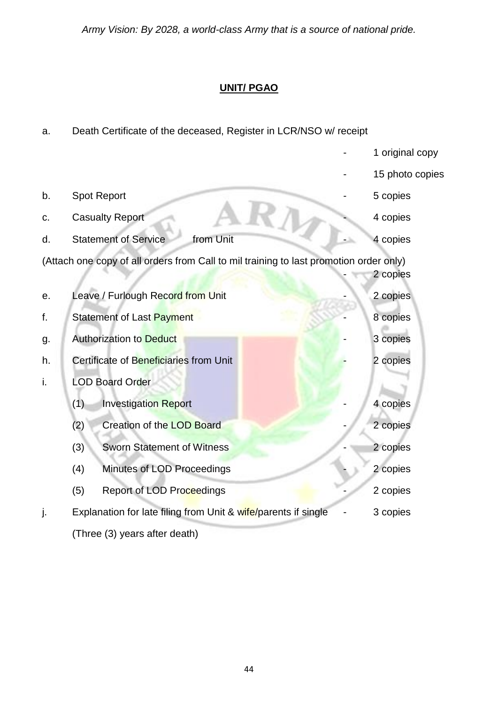#### **UNIT/ PGAO**

| a. | Death Certificate of the deceased, Register in LCR/NSO w/ receipt                      |  |                 |  |
|----|----------------------------------------------------------------------------------------|--|-----------------|--|
|    |                                                                                        |  | 1 original copy |  |
|    |                                                                                        |  | 15 photo copies |  |
| b. | <b>Spot Report</b>                                                                     |  | 5 copies        |  |
| C. | <b>Casualty Report</b>                                                                 |  | 4 copies        |  |
| d. | from Unit<br><b>Statement of Service</b>                                               |  | 4 copies        |  |
|    | (Attach one copy of all orders from Call to mil training to last promotion order only) |  |                 |  |
|    |                                                                                        |  | 2 copies        |  |
| е. | Leave / Furlough Record from Unit                                                      |  | 2 copies        |  |
| f. | Statement of Last Payment                                                              |  | 8 copies        |  |
| g. | <b>Authorization to Deduct</b>                                                         |  | 3 copies        |  |
| h. | Certificate of Beneficiaries from Unit                                                 |  | 2 copies        |  |
| i. | <b>LOD Board Order</b>                                                                 |  |                 |  |
|    | (1)<br><b>Investigation Report</b>                                                     |  | 4 copies        |  |
|    | Creation of the LOD Board<br>(2)                                                       |  | 2 copies        |  |
|    | (3)<br><b>Sworn Statement of Witness</b>                                               |  | 2 copies        |  |
|    | Minutes of LOD Proceedings<br>(4)                                                      |  | 2 copies        |  |
|    | <b>Report of LOD Proceedings</b><br>(5)                                                |  | 2 copies        |  |
| j. | Explanation for late filing from Unit & wife/parents if single                         |  | 3 copies        |  |
|    | (Three (3) years after death)                                                          |  |                 |  |